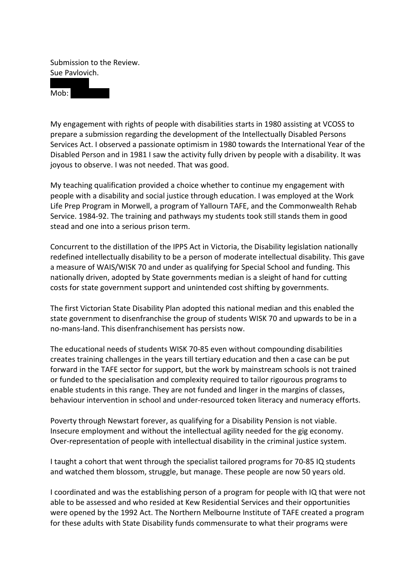Submission to the Review. Sue Pavlovich.

a de la construcción de  $Mob:$ 

My engagement with rights of people with disabilities starts in 1980 assisting at VCOSS to prepare a submission regarding the development of the Intellectually Disabled Persons Services Act. I observed a passionate optimism in 1980 towards the International Year of the Disabled Person and in 1981 I saw the activity fully driven by people with a disability. It was joyous to observe. I was not needed. That was good.

My teaching qualification provided a choice whether to continue my engagement with people with a disability and social justice through education. I was employed at the Work Life Prep Program in Morwell, a program of Yallourn TAFE, and the Commonwealth Rehab Service. 1984-92. The training and pathways my students took still stands them in good stead and one into a serious prison term.

Concurrent to the distillation of the IPPS Act in Victoria, the Disability legislation nationally redefined intellectually disability to be a person of moderate intellectual disability. This gave a measure of WAIS/WISK 70 and under as qualifying for Special School and funding. This nationally driven, adopted by State governments median is a sleight of hand for cutting costs for state government support and unintended cost shifting by governments.

The first Victorian State Disability Plan adopted this national median and this enabled the state government to disenfranchise the group of students WISK 70 and upwards to be in a no-mans-land. This disenfranchisement has persists now.

The educational needs of students WISK 70-85 even without compounding disabilities creates training challenges in the years till tertiary education and then a case can be put forward in the TAFE sector for support, but the work by mainstream schools is not trained or funded to the specialisation and complexity required to tailor rigourous programs to enable students in this range. They are not funded and linger in the margins of classes, behaviour intervention in school and under-resourced token literacy and numeracy efforts.

Poverty through Newstart forever, as qualifying for a Disability Pension is not viable. Insecure employment and without the intellectual agility needed for the gig economy. Over-representation of people with intellectual disability in the criminal justice system.

I taught a cohort that went through the specialist tailored programs for 70-85 IQ students and watched them blossom, struggle, but manage. These people are now 50 years old.

I coordinated and was the establishing person of a program for people with IQ that were not able to be assessed and who resided at Kew Residential Services and their opportunities were opened by the 1992 Act. The Northern Melbourne Institute of TAFE created a program for these adults with State Disability funds commensurate to what their programs were